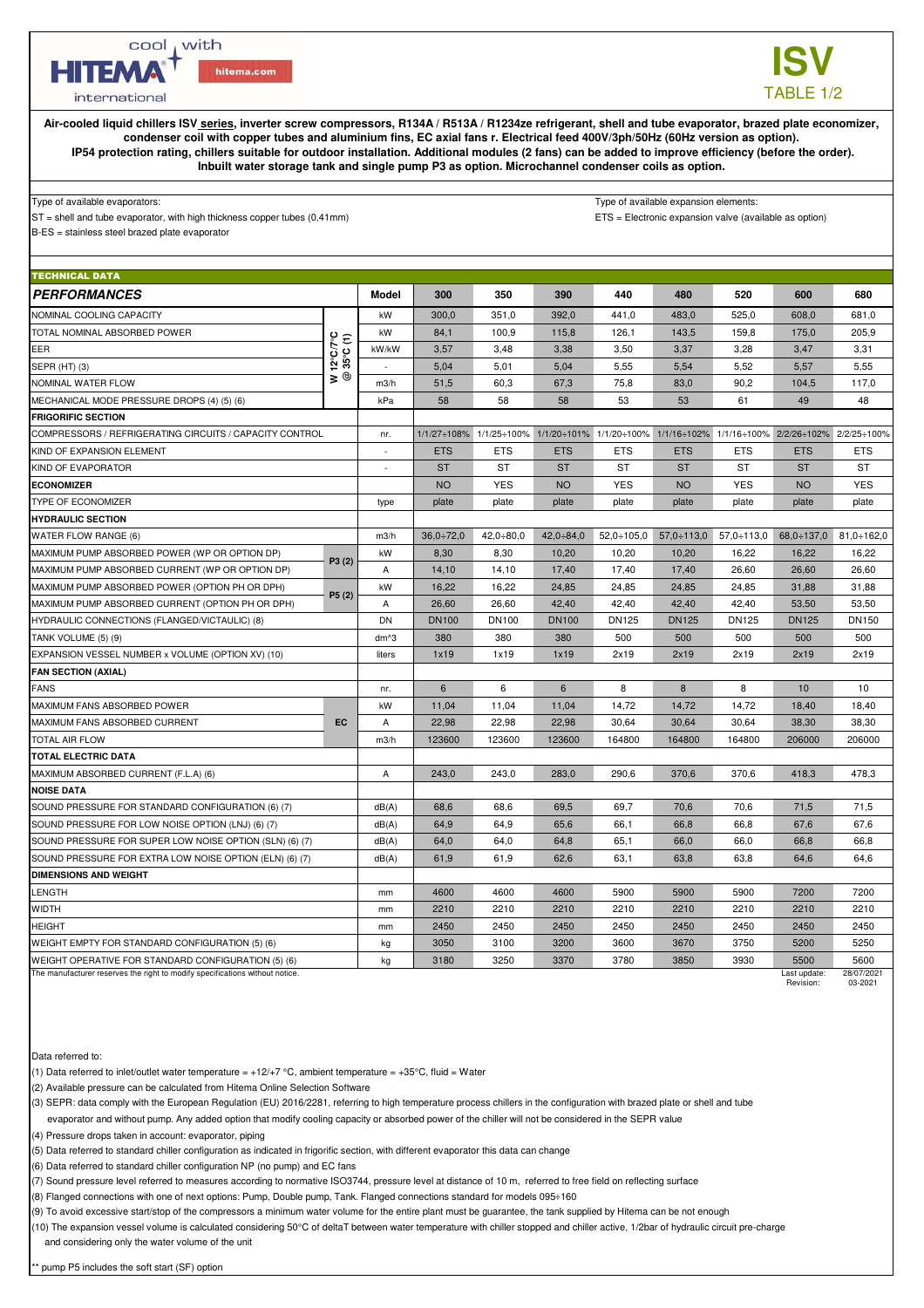cool , with

hitema.com

**ISV** TABLE 1/2

international

**HITEMA** 

**Air-cooled liquid chillers ISV series, inverter screw compressors, R134A / R513A / R1234ze refrigerant, shell and tube evaporator, brazed plate economizer, condenser coil with copper tubes and aluminium fins, EC axial fans r. Electrical feed 400V/3ph/50Hz (60Hz version as option). IP54 protection rating, chillers suitable for outdoor installation. Additional modules (2 fans) can be added to improve efficiency (before the order). Inbuilt water storage tank and single pump P3 as option. Microchannel condenser coils as option.**

## Type of available evaporators: Type of available expansion elements:

ST = shell and tube evaporator, with high thickness copper tubes (0,41mm) ETS = Electronic expansion valve (available as option)

B-ES = stainless steel brazed plate evaporator

| <b>TECHNICAL DATA</b>                                                        |                                                                             |                |                  |              |              |                                                                                                 |                   |                   |              |                   |  |
|------------------------------------------------------------------------------|-----------------------------------------------------------------------------|----------------|------------------|--------------|--------------|-------------------------------------------------------------------------------------------------|-------------------|-------------------|--------------|-------------------|--|
| <b>PERFORMANCES</b>                                                          |                                                                             | <b>Model</b>   | 300              | 350          | 390          | 440                                                                                             | 480               | 520               | 600          | 680               |  |
| NOMINAL COOLING CAPACITY                                                     |                                                                             | kW             | 300,0            | 351,0        | 392,0        | 441,0                                                                                           | 483,0             | 525,0             | 608,0        | 681,0             |  |
| TOTAL NOMINAL ABSORBED POWER                                                 | $12^{\circ}$ C/7 $^{\circ}$ C<br>$(1)$<br>35 $^{\circ}$ C $(1)$<br>$\geq 0$ | kW             | 84,1             | 100,9        | 115,8        | 126,1                                                                                           | 143,5             | 159,8             | 175,0        | 205,9             |  |
| EER                                                                          |                                                                             | kW/kW          | 3.57             | 3,48         | 3,38         | 3,50                                                                                            | 3,37              | 3.28              | 3,47         | 3,31              |  |
| SEPR (HT) (3)                                                                |                                                                             | $\sim$         | 5,04             | 5,01         | 5,04         | 5,55                                                                                            | 5,54              | 5,52              | 5,57         | 5,55              |  |
| NOMINAL WATER FLOW                                                           |                                                                             | m3/h           | 51,5             | 60,3         | 67,3         | 75,8                                                                                            | 83,0              | 90,2              | 104,5        | 117,0             |  |
| MECHANICAL MODE PRESSURE DROPS (4) (5) (6)                                   |                                                                             | kPa            | 58               | 58           | 58           | 53                                                                                              | 53                | 61                | 49           | 48                |  |
| <b>FRIGORIFIC SECTION</b>                                                    |                                                                             |                |                  |              |              |                                                                                                 |                   |                   |              |                   |  |
| COMPRESSORS / REFRIGERATING CIRCUITS / CAPACITY CONTROL                      |                                                                             | nr.            |                  |              |              | 1/1/27+108% 1/1/25+100% 1/1/20+101% 1/1/20+100% 1/1/16+102% 1/1/16+100% 2/2/26+102% 2/2/25+100% |                   |                   |              |                   |  |
| KIND OF EXPANSION ELEMENT                                                    |                                                                             | $\blacksquare$ | <b>ETS</b>       | <b>ETS</b>   | <b>ETS</b>   | <b>ETS</b>                                                                                      | <b>ETS</b>        | <b>ETS</b>        | <b>ETS</b>   | <b>ETS</b>        |  |
| KIND OF EVAPORATOR                                                           |                                                                             |                | <b>ST</b>        | <b>ST</b>    | <b>ST</b>    | <b>ST</b>                                                                                       | <b>ST</b>         | <b>ST</b>         | <b>ST</b>    | <b>ST</b>         |  |
| <b>ECONOMIZER</b>                                                            |                                                                             |                | <b>NO</b>        | <b>YES</b>   | <b>NO</b>    | <b>YES</b>                                                                                      | <b>NO</b>         | <b>YES</b>        | <b>NO</b>    | <b>YES</b>        |  |
| TYPE OF ECONOMIZER                                                           |                                                                             | type           | plate            | plate        | plate        | plate                                                                                           | plate             | plate             | plate        | plate             |  |
| <b>HYDRAULIC SECTION</b>                                                     |                                                                             |                |                  |              |              |                                                                                                 |                   |                   |              |                   |  |
| <b>WATER FLOW RANGE (6)</b>                                                  |                                                                             | m3/h           | $36.0 \div 72.0$ | $42,0+80,0$  | $42,0-84,0$  | $52.0 \div 105.0$                                                                               | $57.0 \div 113.0$ | $57.0 \div 113.0$ | $68,0-137,0$ | $81.0 \div 162.0$ |  |
| MAXIMUM PUMP ABSORBED POWER (WP OR OPTION DP)                                | P3(2)                                                                       | kW             | 8,30             | 8,30         | 10,20        | 10,20                                                                                           | 10,20             | 16,22             | 16,22        | 16,22             |  |
| MAXIMUM PUMP ABSORBED CURRENT (WP OR OPTION DP)                              |                                                                             | A              | 14,10            | 14,10        | 17,40        | 17,40                                                                                           | 17,40             | 26.60             | 26,60        | 26.60             |  |
| MAXIMUM PUMP ABSORBED POWER (OPTION PH OR DPH)                               |                                                                             | kW             | 16,22            | 16,22        | 24,85        | 24,85                                                                                           | 24,85             | 24,85             | 31,88        | 31,88             |  |
| MAXIMUM PUMP ABSORBED CURRENT (OPTION PH OR DPH)                             | P5(2)                                                                       | А              | 26,60            | 26,60        | 42,40        | 42,40                                                                                           | 42,40             | 42,40             | 53,50        | 53,50             |  |
| HYDRAULIC CONNECTIONS (FLANGED/VICTAULIC) (8)                                |                                                                             | DN             | <b>DN100</b>     | <b>DN100</b> | <b>DN100</b> | <b>DN125</b>                                                                                    | <b>DN125</b>      | <b>DN125</b>      | <b>DN125</b> | <b>DN150</b>      |  |
| TANK VOLUME (5) (9)                                                          |                                                                             | dm^3           | 380              | 380          | 380          | 500                                                                                             | 500               | 500               | 500          | 500               |  |
| EXPANSION VESSEL NUMBER x VOLUME (OPTION XV) (10)                            |                                                                             | liters         | 1x19             | 1x19         | 1x19         | 2x19                                                                                            | 2x19              | 2x19              | 2x19         | 2x19              |  |
| <b>FAN SECTION (AXIAL)</b>                                                   |                                                                             |                |                  |              |              |                                                                                                 |                   |                   |              |                   |  |
| <b>FANS</b>                                                                  |                                                                             | nr.            | 6                | 6            | 6            | 8                                                                                               | 8                 | 8                 | 10           | 10                |  |
| MAXIMUM FANS ABSORBED POWER                                                  |                                                                             | kW             | 11,04            | 11,04        | 11,04        | 14,72                                                                                           | 14,72             | 14,72             | 18,40        | 18,40             |  |
| MAXIMUM FANS ABSORBED CURRENT                                                | <b>EC</b>                                                                   | Α              | 22,98            | 22,98        | 22,98        | 30,64                                                                                           | 30,64             | 30,64             | 38,30        | 38,30             |  |
| <b>TOTAL AIR FLOW</b>                                                        |                                                                             | m3/h           | 123600           | 123600       | 123600       | 164800                                                                                          | 164800            | 164800            | 206000       | 206000            |  |
| <b>TOTAL ELECTRIC DATA</b>                                                   |                                                                             |                |                  |              |              |                                                                                                 |                   |                   |              |                   |  |
| MAXIMUM ABSORBED CURRENT (F.L.A) (6)                                         |                                                                             | Α              | 243,0            | 243,0        | 283,0        | 290,6                                                                                           | 370,6             | 370,6             | 418,3        | 478,3             |  |
| <b>NOISE DATA</b>                                                            |                                                                             |                |                  |              |              |                                                                                                 |                   |                   |              |                   |  |
| SOUND PRESSURE FOR STANDARD CONFIGURATION (6) (7)                            |                                                                             | dB(A)          | 68.6             | 68,6         | 69,5         | 69.7                                                                                            | 70,6              | 70.6              | 71,5         | 71,5              |  |
| SOUND PRESSURE FOR LOW NOISE OPTION (LNJ) (6) (7)                            |                                                                             | dB(A)          | 64,9             | 64,9         | 65,6         | 66,1                                                                                            | 66,8              | 66,8              | 67,6         | 67,6              |  |
| SOUND PRESSURE FOR SUPER LOW NOISE OPTION (SLN) (6) (7)                      |                                                                             | dB(A)          | 64,0             | 64,0         | 64,8         | 65,1                                                                                            | 66,0              | 66,0              | 66,8         | 66,8              |  |
| SOUND PRESSURE FOR EXTRA LOW NOISE OPTION (ELN) (6) (7)                      |                                                                             | dB(A)          | 61,9             | 61,9         | 62,6         | 63,1                                                                                            | 63,8              | 63,8              | 64,6         | 64,6              |  |
| <b>DIMENSIONS AND WEIGHT</b>                                                 |                                                                             |                |                  |              |              |                                                                                                 |                   |                   |              |                   |  |
| LENGTH                                                                       |                                                                             | mm             | 4600             | 4600         | 4600         | 5900                                                                                            | 5900              | 5900              | 7200         | 7200              |  |
| <b>WIDTH</b>                                                                 |                                                                             | mm             | 2210             | 2210         | 2210         | 2210                                                                                            | 2210              | 2210              | 2210         | 2210              |  |
| <b>HEIGHT</b>                                                                |                                                                             | mm             | 2450             | 2450         | 2450         | 2450                                                                                            | 2450              | 2450              | 2450         | 2450              |  |
| WEIGHT EMPTY FOR STANDARD CONFIGURATION (5) (6)                              |                                                                             | kg             | 3050             | 3100         | 3200         | 3600                                                                                            | 3670              | 3750              | 5200         | 5250              |  |
| WEIGHT OPERATIVE FOR STANDARD CONFIGURATION (5) (6)                          |                                                                             | kg             | 3180             | 3250         | 3370         | 3780                                                                                            | 3850              | 3930              | 5500         | 5600              |  |
| The manufacturer reserves the right to modify specifications without notice. |                                                                             |                |                  |              |              |                                                                                                 |                   |                   | Last update: | 28/07/2021        |  |

Revision: 03-2021

Data referred to:

(1) Data referred to inlet/outlet water temperature = +12/+7 °C, ambient temperature = +35°C, fluid = Water

(2) Available pressure can be calculated from Hitema Online Selection Software

(3) SEPR: data comply with the European Regulation (EU) 2016/2281, referring to high temperature process chillers in the configuration with brazed plate or shell and tube

evaporator and without pump. Any added option that modify cooling capacity or absorbed power of the chiller will not be considered in the SEPR value

(4) Pressure drops taken in account: evaporator, piping

(5) Data referred to standard chiller configuration as indicated in frigorific section, with different evaporator this data can change

(6) Data referred to standard chiller configuration NP (no pump) and EC fans

(7) Sound pressure level referred to measures according to normative ISO3744, pressure level at distance of 10 m, referred to free field on reflecting surface

(8) Flanged connections with one of next options: Pump, Double pump, Tank. Flanged connections standard for models 095÷160

(9) To avoid excessive start/stop of the compressors a minimum water volume for the entire plant must be guarantee, the tank supplied by Hitema can be not enough

(10) The expansion vessel volume is calculated considering 50°C of deltaT between water temperature with chiller stopped and chiller active, 1/2bar of hydraulic circuit pre-charge and considering only the water volume of the unit